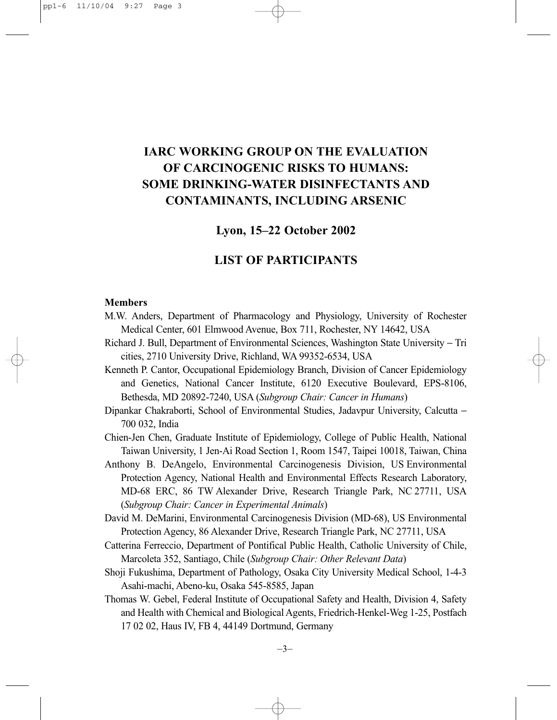# **IARC WORKING GROUP ON THE EVALUATION OF CARCINOGENIC RISKS TO HUMANS: SOME DRINKING-WATER DISINFECTANTS AND CONTAMINANTS, INCLUDING ARSENIC**

# **Lyon, 15–22 October 2002**

# **LIST OF PARTICIPANTS**

### **Members**

- M.W. Anders, Department of Pharmacology and Physiology, University of Rochester Medical Center, 601 Elmwood Avenue, Box 711, Rochester, NY 14642, USA
- Richard J. Bull, Department of Environmental Sciences, Washington State University − Tri cities, 2710 University Drive, Richland, WA 99352-6534, USA
- Kenneth P. Cantor, Occupational Epidemiology Branch, Division of Cancer Epidemiology and Genetics, National Cancer Institute, 6120 Executive Boulevard, EPS-8106, Bethesda, MD 20892-7240, USA (*Subgroup Chair: Cancer in Humans*)
- Dipankar Chakraborti, School of Environmental Studies, Jadavpur University, Calcutta − 700 032, India
- Chien-Jen Chen, Graduate Institute of Epidemiology, College of Public Health, National Taiwan University, 1 Jen-Ai Road Section 1, Room 1547, Taipei 10018, Taiwan, China
- Anthony B. DeAngelo, Environmental Carcinogenesis Division, US Environmental Protection Agency, National Health and Environmental Effects Research Laboratory, MD-68 ERC, 86 TW Alexander Drive, Research Triangle Park, NC 27711, USA (*Subgroup Chair: Cancer in Experimental Animals*)
- David M. DeMarini, Environmental Carcinogenesis Division (MD-68), US Environmental Protection Agency, 86 Alexander Drive, Research Triangle Park, NC 27711, USA
- Catterina Ferreccio, Department of Pontifical Public Health, Catholic University of Chile, Marcoleta 352, Santiago, Chile (*Subgroup Chair: Other Relevant Data*)
- Shoji Fukushima, Department of Pathology, Osaka City University Medical School, 1-4-3 Asahi-machi, Abeno-ku, Osaka 545-8585, Japan
- Thomas W. Gebel, Federal Institute of Occupational Safety and Health, Division 4, Safety and Health with Chemical and Biological Agents, Friedrich-Henkel-Weg 1-25, Postfach 17 02 02, Haus IV, FB 4, 44149 Dortmund, Germany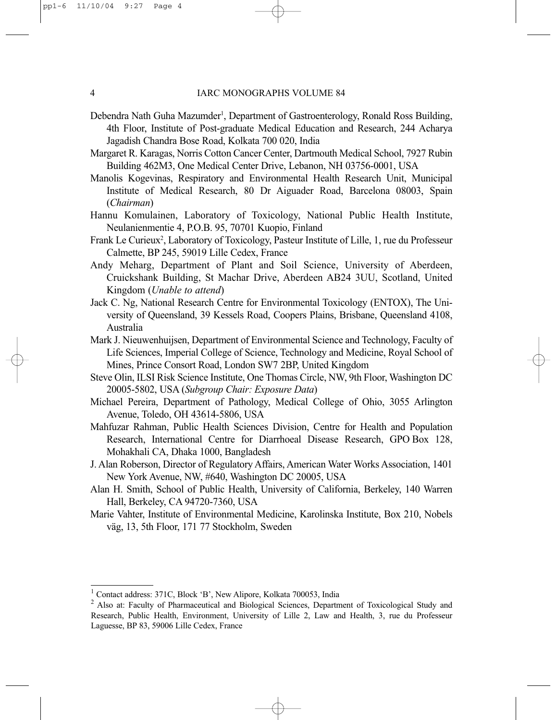- Debendra Nath Guha Mazumder<sup>1</sup>, Department of Gastroenterology, Ronald Ross Building, 4th Floor, Institute of Post-graduate Medical Education and Research, 244 Acharya Jagadish Chandra Bose Road, Kolkata 700 020, India
- Margaret R. Karagas, Norris Cotton Cancer Center, Dartmouth Medical School, 7927 Rubin Building 462M3, One Medical Center Drive, Lebanon, NH 03756-0001, USA
- Manolis Kogevinas, Respiratory and Environmental Health Research Unit, Municipal Institute of Medical Research, 80 Dr Aiguader Road, Barcelona 08003, Spain (*Chairman*)
- Hannu Komulainen, Laboratory of Toxicology, National Public Health Institute, Neulanienmentie 4, P.O.B. 95, 70701 Kuopio, Finland
- Frank Le Curieux<sup>2</sup>, Laboratory of Toxicology, Pasteur Institute of Lille, 1, rue du Professeur Calmette, BP 245, 59019 Lille Cedex, France
- Andy Meharg, Department of Plant and Soil Science, University of Aberdeen, Cruickshank Building, St Machar Drive, Aberdeen AB24 3UU, Scotland, United Kingdom (*Unable to attend*)
- Jack C. Ng, National Research Centre for Environmental Toxicology (ENTOX), The University of Queensland, 39 Kessels Road, Coopers Plains, Brisbane, Queensland 4108, Australia
- Mark J. Nieuwenhuijsen, Department of Environmental Science and Technology, Faculty of Life Sciences, Imperial College of Science, Technology and Medicine, Royal School of Mines, Prince Consort Road, London SW7 2BP, United Kingdom
- Steve Olin, ILSI Risk Science Institute, One Thomas Circle, NW, 9th Floor, Washington DC 20005-5802, USA (*Subgroup Chair: Exposure Data*)
- Michael Pereira, Department of Pathology, Medical College of Ohio, 3055 Arlington Avenue, Toledo, OH 43614-5806, USA
- Mahfuzar Rahman, Public Health Sciences Division, Centre for Health and Population Research, International Centre for Diarrhoeal Disease Research, GPO Box 128, Mohakhali CA, Dhaka 1000, Bangladesh
- J. Alan Roberson, Director of Regulatory Affairs, American Water Works Association, 1401 New York Avenue, NW, #640, Washington DC 20005, USA
- Alan H. Smith, School of Public Health, University of California, Berkeley, 140 Warren Hall, Berkeley, CA 94720-7360, USA
- Marie Vahter, Institute of Environmental Medicine, Karolinska Institute, Box 210, Nobels väg, 13, 5th Floor, 171 77 Stockholm, Sweden

<sup>&</sup>lt;sup>1</sup> Contact address: 371C, Block 'B', New Alipore, Kolkata 700053, India

<sup>&</sup>lt;sup>2</sup> Also at: Faculty of Pharmaceutical and Biological Sciences, Department of Toxicological Study and Research, Public Health, Environment, University of Lille 2, Law and Health, 3, rue du Professeur Laguesse, BP 83, 59006 Lille Cedex, France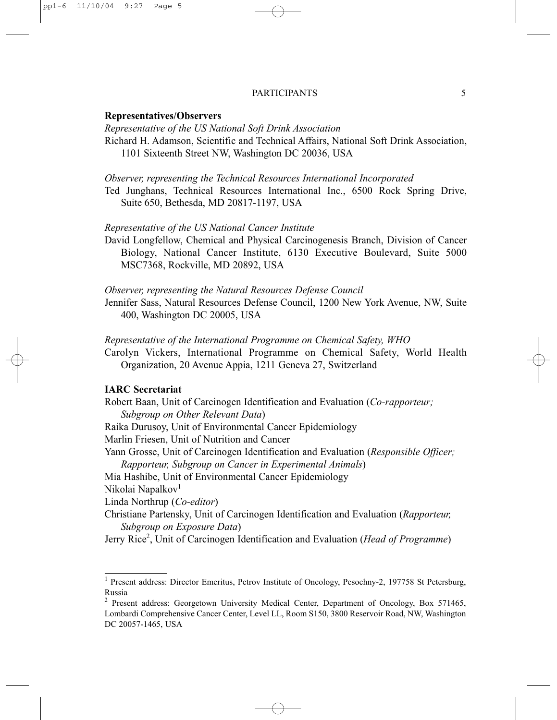#### PARTICIPANTS 5

#### **Representatives/Observers**

*Representative of the US National Soft Drink Association*

Richard H. Adamson, Scientific and Technical Affairs, National Soft Drink Association, 1101 Sixteenth Street NW, Washington DC 20036, USA

#### *Observer, representing the Technical Resources International Incorporated*

Ted Junghans, Technical Resources International Inc., 6500 Rock Spring Drive, Suite 650, Bethesda, MD 20817-1197, USA

## *Representative of the US National Cancer Institute*

David Longfellow, Chemical and Physical Carcinogenesis Branch, Division of Cancer Biology, National Cancer Institute, 6130 Executive Boulevard, Suite 5000 MSC7368, Rockville, MD 20892, USA

*Observer, representing the Natural Resources Defense Council*

Jennifer Sass, Natural Resources Defense Council, 1200 New York Avenue, NW, Suite 400, Washington DC 20005, USA

#### *Representative of the International Programme on Chemical Safety, WHO*

Carolyn Vickers, International Programme on Chemical Safety, World Health Organization, 20 Avenue Appia, 1211 Geneva 27, Switzerland

### **IARC Secretariat**

Robert Baan, Unit of Carcinogen Identification and Evaluation (*Co-rapporteur; Subgroup on Other Relevant Data*)

Raika Durusoy, Unit of Environmental Cancer Epidemiology

Marlin Friesen, Unit of Nutrition and Cancer

Yann Grosse, Unit of Carcinogen Identification and Evaluation (*Responsible Officer;*

*Rapporteur, Subgroup on Cancer in Experimental Animals*)

Mia Hashibe, Unit of Environmental Cancer Epidemiology

Nikolai Napalkov<sup>1</sup>

Linda Northrup (*Co-editor*)

Christiane Partensky, Unit of Carcinogen Identification and Evaluation (*Rapporteur, Subgroup on Exposure Data*)

Jerry Rice<sup>2</sup>, Unit of Carcinogen Identification and Evaluation (*Head of Programme*)

<sup>&</sup>lt;sup>1</sup> Present address: Director Emeritus, Petrov Institute of Oncology, Pesochny-2, 197758 St Petersburg, Russia

<sup>&</sup>lt;sup>2</sup> Present address: Georgetown University Medical Center, Department of Oncology, Box 571465, Lombardi Comprehensive Cancer Center, Level LL, Room S150, 3800 Reservoir Road, NW, Washington DC 20057-1465, USA